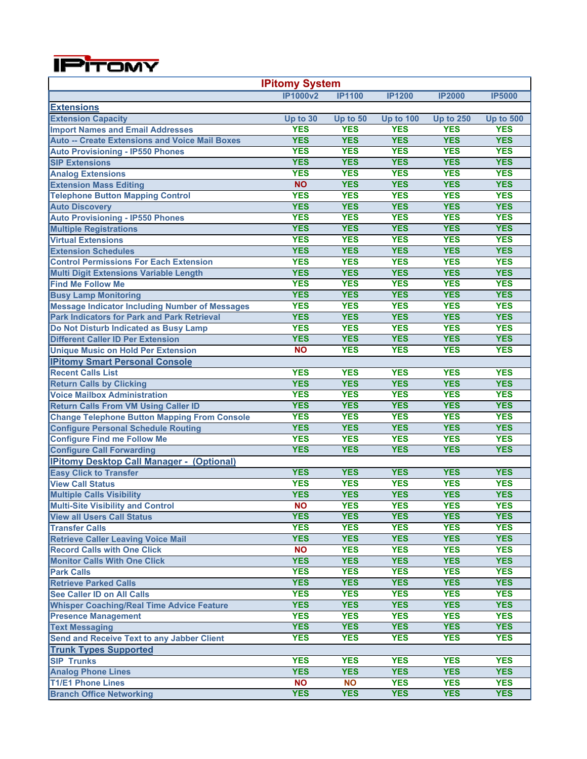

| <b>IPitomy System</b>                                 |                 |               |                  |                  |                  |  |
|-------------------------------------------------------|-----------------|---------------|------------------|------------------|------------------|--|
|                                                       | <b>IP1000v2</b> | <b>IP1100</b> | <b>IP1200</b>    | <b>IP2000</b>    | <b>IP5000</b>    |  |
| <b>Extensions</b>                                     |                 |               |                  |                  |                  |  |
| <b>Extension Capacity</b>                             | Up to 30        | Up to 50      | <b>Up to 100</b> | <b>Up to 250</b> | <b>Up to 500</b> |  |
| <b>Import Names and Email Addresses</b>               | <b>YES</b>      | <b>YES</b>    | <b>YES</b>       | <b>YES</b>       | <b>YES</b>       |  |
| <b>Auto -- Create Extensions and Voice Mail Boxes</b> | <b>YES</b>      | <b>YES</b>    | <b>YES</b>       | <b>YES</b>       | <b>YES</b>       |  |
| <b>Auto Provisioning - IP550 Phones</b>               | <b>YES</b>      | <b>YES</b>    | <b>YES</b>       | <b>YES</b>       | <b>YES</b>       |  |
| <b>SIP Extensions</b>                                 | <b>YES</b>      | <b>YES</b>    | <b>YES</b>       | <b>YES</b>       | <b>YES</b>       |  |
| <b>Analog Extensions</b>                              | <b>YES</b>      | <b>YES</b>    | <b>YES</b>       | <b>YES</b>       | <b>YES</b>       |  |
| <b>Extension Mass Editing</b>                         | <b>NO</b>       | <b>YES</b>    | <b>YES</b>       | <b>YES</b>       | <b>YES</b>       |  |
| <b>Telephone Button Mapping Control</b>               | <b>YES</b>      | <b>YES</b>    | <b>YES</b>       | <b>YES</b>       | <b>YES</b>       |  |
| <b>Auto Discovery</b>                                 | <b>YES</b>      | <b>YES</b>    | <b>YES</b>       | <b>YES</b>       | <b>YES</b>       |  |
| <b>Auto Provisioning - IP550 Phones</b>               | <b>YES</b>      | <b>YES</b>    | <b>YES</b>       | <b>YES</b>       | <b>YES</b>       |  |
| <b>Multiple Registrations</b>                         | <b>YES</b>      | <b>YES</b>    | <b>YES</b>       | <b>YES</b>       | <b>YES</b>       |  |
| <b>Virtual Extensions</b>                             | <b>YES</b>      | <b>YES</b>    | <b>YES</b>       | <b>YES</b>       | <b>YES</b>       |  |
| <b>Extension Schedules</b>                            | <b>YES</b>      | <b>YES</b>    | <b>YES</b>       | <b>YES</b>       | <b>YES</b>       |  |
| <b>Control Permissions For Each Extension</b>         | <b>YES</b>      | <b>YES</b>    | <b>YES</b>       | <b>YES</b>       | <b>YES</b>       |  |
| Multi Digit Extensions Variable Length                | <b>YES</b>      | <b>YES</b>    | <b>YES</b>       | <b>YES</b>       | <b>YES</b>       |  |
| <b>Find Me Follow Me</b>                              | <b>YES</b>      | <b>YES</b>    | <b>YES</b>       | <b>YES</b>       | <b>YES</b>       |  |
| <b>Busy Lamp Monitoring</b>                           | <b>YES</b>      | <b>YES</b>    | <b>YES</b>       | <b>YES</b>       | <b>YES</b>       |  |
| <b>Message Indicator Including Number of Messages</b> | <b>YES</b>      | <b>YES</b>    | <b>YES</b>       | <b>YES</b>       | <b>YES</b>       |  |
| <b>Park Indicators for Park and Park Retrieval</b>    | <b>YES</b>      | <b>YES</b>    | <b>YES</b>       | <b>YES</b>       | <b>YES</b>       |  |
| Do Not Disturb Indicated as Busy Lamp                 | <b>YES</b>      | <b>YES</b>    | <b>YES</b>       | <b>YES</b>       | <b>YES</b>       |  |
| <b>Different Caller ID Per Extension</b>              | <b>YES</b>      | <b>YES</b>    | <b>YES</b>       | <b>YES</b>       | <b>YES</b>       |  |
| <b>Unique Music on Hold Per Extension</b>             | <b>NO</b>       | <b>YES</b>    | <b>YES</b>       | <b>YES</b>       | <b>YES</b>       |  |
| <b>IPitomy Smart Personal Console</b>                 |                 |               |                  |                  |                  |  |
| <b>Recent Calls List</b>                              | <b>YES</b>      | <b>YES</b>    | <b>YES</b>       | <b>YES</b>       | <b>YES</b>       |  |
| <b>Return Calls by Clicking</b>                       | <b>YES</b>      | <b>YES</b>    | <b>YES</b>       | <b>YES</b>       | <b>YES</b>       |  |
| <b>Voice Mailbox Administration</b>                   | <b>YES</b>      | <b>YES</b>    | <b>YES</b>       | <b>YES</b>       | <b>YES</b>       |  |
| <b>Return Calls From VM Using Caller ID</b>           | <b>YES</b>      | <b>YES</b>    | <b>YES</b>       | <b>YES</b>       | <b>YES</b>       |  |
| <b>Change Telephone Button Mapping From Console</b>   | <b>YES</b>      | <b>YES</b>    | <b>YES</b>       | <b>YES</b>       | <b>YES</b>       |  |
| <b>Configure Personal Schedule Routing</b>            | <b>YES</b>      | <b>YES</b>    | <b>YES</b>       | <b>YES</b>       | <b>YES</b>       |  |
| <b>Configure Find me Follow Me</b>                    | <b>YES</b>      | <b>YES</b>    | <b>YES</b>       | <b>YES</b>       | <b>YES</b>       |  |
| <b>Configure Call Forwarding</b>                      | <b>YES</b>      | <b>YES</b>    | <b>YES</b>       | <b>YES</b>       | <b>YES</b>       |  |
| <b>IPitomy Desktop Call Manager - (Optional)</b>      |                 |               |                  |                  |                  |  |
| <b>Easy Click to Transfer</b>                         | <b>YES</b>      | <b>YES</b>    | <b>YES</b>       | <b>YES</b>       | <b>YES</b>       |  |
| <b>View Call Status</b>                               | <b>YES</b>      | <b>YES</b>    | <b>YES</b>       | <b>YES</b>       | <b>YES</b>       |  |
| <b>Multiple Calls Visibility</b>                      | <b>YES</b>      | <b>YES</b>    | <b>YES</b>       | <b>YES</b>       | <b>YES</b>       |  |
| <b>Multi-Site Visibility and Control</b>              | <b>NO</b>       | <b>YES</b>    | <b>YES</b>       | <b>YES</b>       | <b>YES</b>       |  |
| <b>View all Users Call Status</b>                     | <b>YES</b>      | <b>YES</b>    | <b>YES</b>       | <b>YES</b>       | <b>YES</b>       |  |
| <b>Transfer Calls</b>                                 | <b>YES</b>      | <b>YES</b>    | <b>YES</b>       | <b>YES</b>       | <b>YES</b>       |  |
| <b>Retrieve Caller Leaving Voice Mail</b>             | <b>YES</b>      | <b>YES</b>    | <b>YES</b>       | <b>YES</b>       | <b>YES</b>       |  |
| <b>Record Calls with One Click</b>                    | <b>NO</b>       | <b>YES</b>    | <b>YES</b>       | <b>YES</b>       | <b>YES</b>       |  |
| <b>Monitor Calls With One Click</b>                   | <b>YES</b>      | <b>YES</b>    | <b>YES</b>       | <b>YES</b>       | <b>YES</b>       |  |
| <b>Park Calls</b>                                     | <b>YES</b>      | <b>YES</b>    | <b>YES</b>       | <b>YES</b>       | <b>YES</b>       |  |
| <b>Retrieve Parked Calls</b>                          | <b>YES</b>      | <b>YES</b>    | <b>YES</b>       | <b>YES</b>       | <b>YES</b>       |  |
| <b>See Caller ID on All Calls</b>                     | <b>YES</b>      | <b>YES</b>    | <b>YES</b>       | <b>YES</b>       | <b>YES</b>       |  |
| <b>Whisper Coaching/Real Time Advice Feature</b>      | <b>YES</b>      | <b>YES</b>    | <b>YES</b>       | <b>YES</b>       | <b>YES</b>       |  |
| <b>Presence Management</b>                            | <b>YES</b>      | <b>YES</b>    | <b>YES</b>       | <b>YES</b>       | <b>YES</b>       |  |
| <b>Text Messaging</b>                                 | <b>YES</b>      | <b>YES</b>    | <b>YES</b>       | <b>YES</b>       | <b>YES</b>       |  |
| <b>Send and Receive Text to any Jabber Client</b>     | <b>YES</b>      | <b>YES</b>    | <b>YES</b>       | <b>YES</b>       | <b>YES</b>       |  |
| <b>Trunk Types Supported</b>                          |                 |               |                  |                  |                  |  |
| <b>SIP Trunks</b>                                     | <b>YES</b>      | <b>YES</b>    | <b>YES</b>       | <b>YES</b>       | <b>YES</b>       |  |
| <b>Analog Phone Lines</b>                             | <b>YES</b>      | <b>YES</b>    | <b>YES</b>       | <b>YES</b>       | <b>YES</b>       |  |
| <b>T1/E1 Phone Lines</b>                              | <b>NO</b>       | <b>NO</b>     | <b>YES</b>       | <b>YES</b>       | <b>YES</b>       |  |
| <b>Branch Office Networking</b>                       | <b>YES</b>      | <b>YES</b>    | <b>YES</b>       | <b>YES</b>       | <b>YES</b>       |  |
|                                                       |                 |               |                  |                  |                  |  |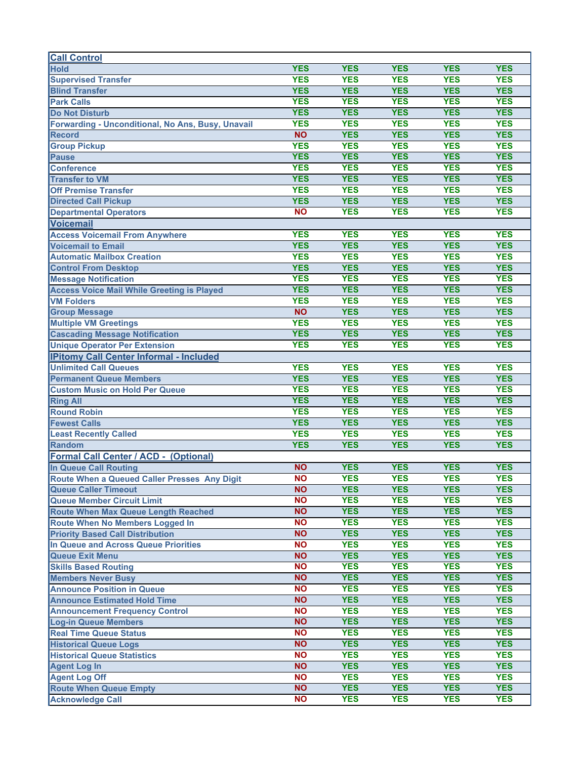| <b>Call Control</b>                               |            |                          |                          |            |            |
|---------------------------------------------------|------------|--------------------------|--------------------------|------------|------------|
| <b>Hold</b>                                       | <b>YES</b> | <b>YES</b>               | <b>YES</b>               | <b>YES</b> | <b>YES</b> |
| <b>Supervised Transfer</b>                        | <b>YES</b> | <b>YES</b>               | <b>YES</b>               | <b>YES</b> | <b>YES</b> |
| <b>Blind Transfer</b>                             | <b>YES</b> | <b>YES</b>               | <b>YES</b>               | <b>YES</b> | <b>YES</b> |
| <b>Park Calls</b>                                 | <b>YES</b> | <b>YES</b>               | <b>YES</b>               | <b>YES</b> | <b>YES</b> |
| <b>Do Not Disturb</b>                             | <b>YES</b> | <b>YES</b>               | <b>YES</b>               | <b>YES</b> | <b>YES</b> |
| Forwarding - Unconditional, No Ans, Busy, Unavail | <b>YES</b> | <b>YES</b>               | <b>YES</b>               | <b>YES</b> | <b>YES</b> |
| <b>Record</b>                                     | <b>NO</b>  | <b>YES</b>               | <b>YES</b>               | <b>YES</b> | <b>YES</b> |
| <b>Group Pickup</b>                               | <b>YES</b> | <b>YES</b>               | <b>YES</b>               | <b>YES</b> | <b>YES</b> |
| <b>Pause</b>                                      | <b>YES</b> | <b>YES</b>               | <b>YES</b>               | <b>YES</b> | <b>YES</b> |
| <b>Conference</b>                                 | <b>YES</b> | <b>YES</b>               | <b>YES</b>               | <b>YES</b> | <b>YES</b> |
| <b>Transfer to VM</b>                             | <b>YES</b> | <b>YES</b>               | <b>YES</b>               | <b>YES</b> | <b>YES</b> |
| <b>Off Premise Transfer</b>                       | <b>YES</b> | <b>YES</b>               | <b>YES</b>               | <b>YES</b> | <b>YES</b> |
| <b>Directed Call Pickup</b>                       | <b>YES</b> | <b>YES</b>               | <b>YES</b>               | <b>YES</b> | <b>YES</b> |
| <b>Departmental Operators</b>                     | <b>NO</b>  | <b>YES</b>               | <b>YES</b>               | <b>YES</b> | <b>YES</b> |
| <b>Voicemail</b>                                  |            |                          |                          |            |            |
| <b>Access Voicemail From Anywhere</b>             | <b>YES</b> | <b>YES</b>               | <b>YES</b>               | <b>YES</b> | <b>YES</b> |
| <b>Voicemail to Email</b>                         | <b>YES</b> | <b>YES</b>               | <b>YES</b>               | <b>YES</b> | <b>YES</b> |
| <b>Automatic Mailbox Creation</b>                 | <b>YES</b> | <b>YES</b>               | <b>YES</b>               | <b>YES</b> | <b>YES</b> |
| <b>Control From Desktop</b>                       | <b>YES</b> | <b>YES</b>               | <b>YES</b>               | <b>YES</b> | <b>YES</b> |
| <b>Message Notification</b>                       | <b>YES</b> | <b>YES</b>               | <b>YES</b>               | <b>YES</b> | <b>YES</b> |
| <b>Access Voice Mail While Greeting is Played</b> | <b>YES</b> | <b>YES</b>               | <b>YES</b>               | <b>YES</b> | <b>YES</b> |
| <b>VM Folders</b>                                 | <b>YES</b> | <b>YES</b>               | <b>YES</b>               | <b>YES</b> | <b>YES</b> |
| <b>Group Message</b>                              | <b>NO</b>  | <b>YES</b>               | <b>YES</b>               | <b>YES</b> | <b>YES</b> |
| <b>Multiple VM Greetings</b>                      | <b>YES</b> | <b>YES</b>               | <b>YES</b>               | <b>YES</b> | <b>YES</b> |
|                                                   | <b>YES</b> | <b>YES</b>               | <b>YES</b>               | <b>YES</b> | <b>YES</b> |
| <b>Cascading Message Notification</b>             | <b>YES</b> | <b>YES</b>               | <b>YES</b>               | <b>YES</b> | <b>YES</b> |
| <b>Unique Operator Per Extension</b>              |            |                          |                          |            |            |
| <b>IPitomy Call Center Informal - Included</b>    |            |                          |                          |            |            |
| <b>Unlimited Call Queues</b>                      | <b>YES</b> | <b>YES</b>               | <b>YES</b>               | <b>YES</b> | <b>YES</b> |
| <b>Permanent Queue Members</b>                    | <b>YES</b> | <b>YES</b><br><b>YES</b> | <b>YES</b><br><b>YES</b> | <b>YES</b> | <b>YES</b> |
| <b>Custom Music on Hold Per Queue</b>             | <b>YES</b> |                          |                          | <b>YES</b> | <b>YES</b> |
| <b>Ring All</b>                                   | <b>YES</b> | <b>YES</b>               | <b>YES</b>               | <b>YES</b> | <b>YES</b> |
| <b>Round Robin</b>                                | <b>YES</b> | <b>YES</b>               | <b>YES</b>               | <b>YES</b> | <b>YES</b> |
| <b>Fewest Calls</b>                               | <b>YES</b> | <b>YES</b>               | <b>YES</b>               | <b>YES</b> | <b>YES</b> |
| <b>Least Recently Called</b>                      | <b>YES</b> | <b>YES</b>               | <b>YES</b>               | <b>YES</b> | <b>YES</b> |
| Random                                            | <b>YES</b> | <b>YES</b>               | <b>YES</b>               | <b>YES</b> | <b>YES</b> |
| <b>Formal Call Center / ACD - (Optional)</b>      |            |                          |                          |            |            |
| In Queue Call Routing                             | <b>NO</b>  | <b>YES</b>               | <b>YES</b>               | <b>YES</b> | <b>YES</b> |
| Route When a Queued Caller Presses Any Digit      | <b>NO</b>  | <b>YES</b>               | <b>YES</b>               | <b>YES</b> | <b>YES</b> |
| <b>Queue Caller Timeout</b>                       | <b>NO</b>  | <b>YES</b>               | <b>YES</b>               | <b>YES</b> | <b>YES</b> |
| <b>Queue Member Circuit Limit</b>                 | <b>NO</b>  | <b>YES</b>               | <b>YES</b>               | <b>YES</b> | <b>YES</b> |
| <b>Route When Max Queue Length Reached</b>        | <b>NO</b>  | <b>YES</b>               | <b>YES</b>               | <b>YES</b> | <b>YES</b> |
| Route When No Members Logged In                   | <b>NO</b>  | <b>YES</b>               | <b>YES</b>               | <b>YES</b> | <b>YES</b> |
| <b>Priority Based Call Distribution</b>           | <b>NO</b>  | <b>YES</b>               | <b>YES</b>               | <b>YES</b> | <b>YES</b> |
| In Queue and Across Queue Priorities              | <b>NO</b>  | <b>YES</b>               | <b>YES</b>               | <b>YES</b> | <b>YES</b> |
| <b>Queue Exit Menu</b>                            | <b>NO</b>  | <b>YES</b>               | <b>YES</b>               | <b>YES</b> | <b>YES</b> |
| <b>Skills Based Routing</b>                       | <b>NO</b>  | <b>YES</b>               | <b>YES</b>               | <b>YES</b> | <b>YES</b> |
| <b>Members Never Busy</b>                         | <b>NO</b>  | <b>YES</b>               | <b>YES</b>               | <b>YES</b> | <b>YES</b> |
| <b>Announce Position in Queue</b>                 | <b>NO</b>  | <b>YES</b>               | <b>YES</b>               | <b>YES</b> | <b>YES</b> |
| <b>Announce Estimated Hold Time</b>               | <b>NO</b>  | <b>YES</b>               | <b>YES</b>               | <b>YES</b> | <b>YES</b> |
| <b>Announcement Frequency Control</b>             | <b>NO</b>  | <b>YES</b>               | <b>YES</b>               | <b>YES</b> | <b>YES</b> |
| <b>Log-in Queue Members</b>                       | <b>NO</b>  | <b>YES</b>               | <b>YES</b>               | <b>YES</b> | <b>YES</b> |
| <b>Real Time Queue Status</b>                     | <b>NO</b>  | <b>YES</b>               | <b>YES</b>               | <b>YES</b> | <b>YES</b> |
| <b>Historical Queue Logs</b>                      | <b>NO</b>  | <b>YES</b>               | <b>YES</b>               | <b>YES</b> | <b>YES</b> |
| <b>Historical Queue Statistics</b>                | <b>NO</b>  | <b>YES</b>               | <b>YES</b>               | <b>YES</b> | <b>YES</b> |
| <b>Agent Log In</b>                               | <b>NO</b>  | <b>YES</b>               | <b>YES</b>               | <b>YES</b> | <b>YES</b> |
| <b>Agent Log Off</b>                              | <b>NO</b>  | <b>YES</b>               | <b>YES</b>               | <b>YES</b> | <b>YES</b> |
| <b>Route When Queue Empty</b>                     | <b>NO</b>  | <b>YES</b>               | <b>YES</b>               | <b>YES</b> | <b>YES</b> |
| <b>Acknowledge Call</b>                           | <b>NO</b>  | <b>YES</b>               | <b>YES</b>               | <b>YES</b> | <b>YES</b> |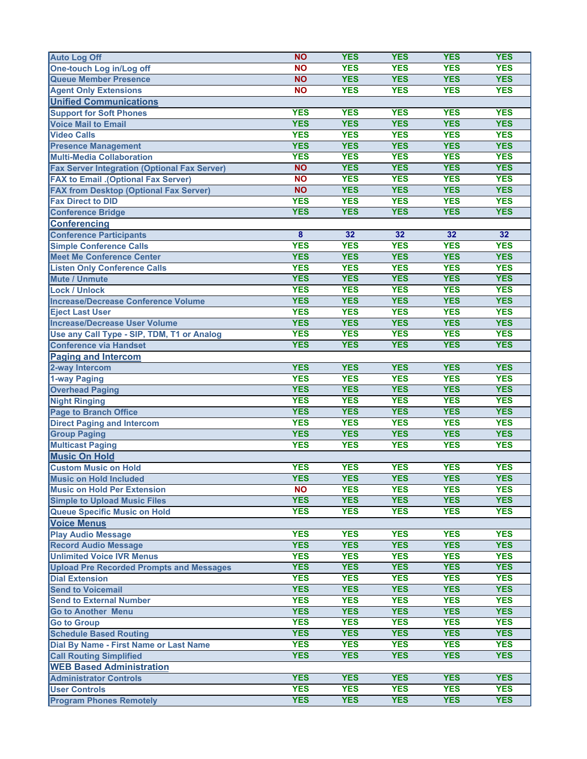| <b>Auto Log Off</b>                                 | <b>NO</b>               | <b>YES</b> | <b>YES</b> | <b>YES</b> | <b>YES</b> |
|-----------------------------------------------------|-------------------------|------------|------------|------------|------------|
| One-touch Log in/Log off                            | <b>NO</b>               | <b>YES</b> | <b>YES</b> | <b>YES</b> | <b>YES</b> |
| <b>Queue Member Presence</b>                        | <b>NO</b>               | <b>YES</b> | <b>YES</b> | <b>YES</b> | <b>YES</b> |
| <b>Agent Only Extensions</b>                        | <b>NO</b>               | <b>YES</b> | <b>YES</b> | <b>YES</b> | <b>YES</b> |
| <b>Unified Communications</b>                       |                         |            |            |            |            |
| <b>Support for Soft Phones</b>                      | <b>YES</b>              | <b>YES</b> | <b>YES</b> | <b>YES</b> | <b>YES</b> |
| <b>Voice Mail to Email</b>                          | <b>YES</b>              | <b>YES</b> | <b>YES</b> | <b>YES</b> | <b>YES</b> |
| <b>Video Calls</b>                                  | <b>YES</b>              | <b>YES</b> | <b>YES</b> | <b>YES</b> | <b>YES</b> |
| <b>Presence Management</b>                          | <b>YES</b>              | <b>YES</b> | <b>YES</b> | <b>YES</b> | <b>YES</b> |
| <b>Multi-Media Collaboration</b>                    | <b>YES</b>              | <b>YES</b> | <b>YES</b> | <b>YES</b> | <b>YES</b> |
| <b>Fax Server Integration (Optional Fax Server)</b> | <b>NO</b>               | <b>YES</b> | <b>YES</b> | <b>YES</b> | <b>YES</b> |
| <b>FAX to Email .(Optional Fax Server)</b>          | <b>NO</b>               | <b>YES</b> | <b>YES</b> | <b>YES</b> | <b>YES</b> |
| <b>FAX from Desktop (Optional Fax Server)</b>       | <b>NO</b>               | <b>YES</b> | <b>YES</b> | <b>YES</b> | <b>YES</b> |
| <b>Fax Direct to DID</b>                            | <b>YES</b>              | <b>YES</b> | <b>YES</b> | <b>YES</b> | <b>YES</b> |
| <b>Conference Bridge</b>                            | <b>YES</b>              | <b>YES</b> | <b>YES</b> | <b>YES</b> | <b>YES</b> |
| <b>Conferencing</b>                                 |                         |            |            |            |            |
| <b>Conference Participants</b>                      | $\overline{\mathbf{8}}$ | 32         | 32         | 32         | 32         |
| <b>Simple Conference Calls</b>                      | <b>YES</b>              | <b>YES</b> | <b>YES</b> | <b>YES</b> | <b>YES</b> |
| Meet Me Conference Center                           | <b>YES</b>              | <b>YES</b> | <b>YES</b> | <b>YES</b> | <b>YES</b> |
| <b>Listen Only Conference Calls</b>                 | <b>YES</b>              | <b>YES</b> | <b>YES</b> | <b>YES</b> | <b>YES</b> |
| <b>Mute / Unmute</b>                                | <b>YES</b>              | <b>YES</b> | <b>YES</b> | <b>YES</b> | <b>YES</b> |
| <b>Lock / Unlock</b>                                | <b>YES</b>              | <b>YES</b> | <b>YES</b> | <b>YES</b> | <b>YES</b> |
| Increase/Decrease Conference Volume                 | <b>YES</b>              | <b>YES</b> | <b>YES</b> | <b>YES</b> | <b>YES</b> |
| <b>Eject Last User</b>                              | <b>YES</b>              | <b>YES</b> | <b>YES</b> | <b>YES</b> | <b>YES</b> |
| <b>Increase/Decrease User Volume</b>                | <b>YES</b>              | <b>YES</b> | <b>YES</b> | <b>YES</b> | <b>YES</b> |
| Use any Call Type - SIP, TDM, T1 or Analog          | <b>YES</b>              | <b>YES</b> | <b>YES</b> | <b>YES</b> | <b>YES</b> |
| <b>Conference via Handset</b>                       | <b>YES</b>              | <b>YES</b> | <b>YES</b> | <b>YES</b> | <b>YES</b> |
| <b>Paging and Intercom</b>                          |                         |            |            |            |            |
| 2-way Intercom                                      | <b>YES</b>              | <b>YES</b> | <b>YES</b> | <b>YES</b> | <b>YES</b> |
| 1-way Paging                                        | <b>YES</b>              | <b>YES</b> | <b>YES</b> | <b>YES</b> | <b>YES</b> |
| <b>Overhead Paging</b>                              | <b>YES</b>              | <b>YES</b> | <b>YES</b> | <b>YES</b> | <b>YES</b> |
| <b>Night Ringing</b>                                | <b>YES</b>              | <b>YES</b> | <b>YES</b> | <b>YES</b> | <b>YES</b> |
| <b>Page to Branch Office</b>                        | <b>YES</b>              | <b>YES</b> | <b>YES</b> | <b>YES</b> | <b>YES</b> |
| <b>Direct Paging and Intercom</b>                   | <b>YES</b>              | <b>YES</b> | <b>YES</b> | <b>YES</b> | <b>YES</b> |
| <b>Group Paging</b>                                 | <b>YES</b>              | <b>YES</b> | <b>YES</b> | <b>YES</b> | <b>YES</b> |
| <b>Multicast Paging</b>                             | <b>YES</b>              | <b>YES</b> | <b>YES</b> | <b>YES</b> | <b>YES</b> |
| <b>Music On Hold</b>                                |                         |            |            |            |            |
| <b>Custom Music on Hold</b>                         | <b>YES</b>              | <b>YES</b> | <b>YES</b> | <b>YES</b> | <b>YES</b> |
| Music on Hold Included                              | <b>YES</b>              | <b>YES</b> | <b>YES</b> | <b>YES</b> | <b>YES</b> |
| <b>Music on Hold Per Extension</b>                  | <b>NO</b>               | <b>YES</b> | <b>YES</b> | <b>YES</b> | <b>YES</b> |
| <b>Simple to Upload Music Files</b>                 | <b>YES</b>              | <b>YES</b> | <b>YES</b> | <b>YES</b> | <b>YES</b> |
| <b>Queue Specific Music on Hold</b>                 | <b>YES</b>              | <b>YES</b> | <b>YES</b> | <b>YES</b> | <b>YES</b> |
| <b>Voice Menus</b>                                  |                         |            |            |            |            |
| <b>Play Audio Message</b>                           | <b>YES</b>              | <b>YES</b> | <b>YES</b> | <b>YES</b> | <b>YES</b> |
| <b>Record Audio Message</b>                         | <b>YES</b>              | <b>YES</b> | <b>YES</b> | <b>YES</b> | <b>YES</b> |
| <b>Unlimited Voice IVR Menus</b>                    | <b>YES</b>              | <b>YES</b> | <b>YES</b> | <b>YES</b> | <b>YES</b> |
| <b>Upload Pre Recorded Prompts and Messages</b>     | <b>YES</b>              | <b>YES</b> | <b>YES</b> | <b>YES</b> | <b>YES</b> |
| <b>Dial Extension</b>                               | <b>YES</b>              | <b>YES</b> | <b>YES</b> | <b>YES</b> | <b>YES</b> |
| <b>Send to Voicemail</b>                            | <b>YES</b>              | <b>YES</b> | <b>YES</b> | <b>YES</b> | <b>YES</b> |
| <b>Send to External Number</b>                      | <b>YES</b>              | <b>YES</b> | <b>YES</b> | <b>YES</b> | <b>YES</b> |
| <b>Go to Another Menu</b>                           | <b>YES</b>              | <b>YES</b> | <b>YES</b> | <b>YES</b> | <b>YES</b> |
| <b>Go to Group</b>                                  | <b>YES</b>              | <b>YES</b> | <b>YES</b> | <b>YES</b> | <b>YES</b> |
| <b>Schedule Based Routing</b>                       | <b>YES</b>              | <b>YES</b> | <b>YES</b> | <b>YES</b> | <b>YES</b> |
| Dial By Name - First Name or Last Name              | <b>YES</b>              | <b>YES</b> | <b>YES</b> | <b>YES</b> | <b>YES</b> |
| <b>Call Routing Simplified</b>                      | <b>YES</b>              | <b>YES</b> | <b>YES</b> | <b>YES</b> | <b>YES</b> |
| <b>WEB Based Administration</b>                     |                         |            |            |            |            |
| <b>Administrator Controls</b>                       | <b>YES</b>              | <b>YES</b> | <b>YES</b> | <b>YES</b> | <b>YES</b> |
| <b>User Controls</b>                                | <b>YES</b>              | <b>YES</b> | <b>YES</b> | <b>YES</b> | <b>YES</b> |
| <b>Program Phones Remotely</b>                      | <b>YES</b>              | <b>YES</b> | <b>YES</b> | <b>YES</b> | <b>YES</b> |
|                                                     |                         |            |            |            |            |